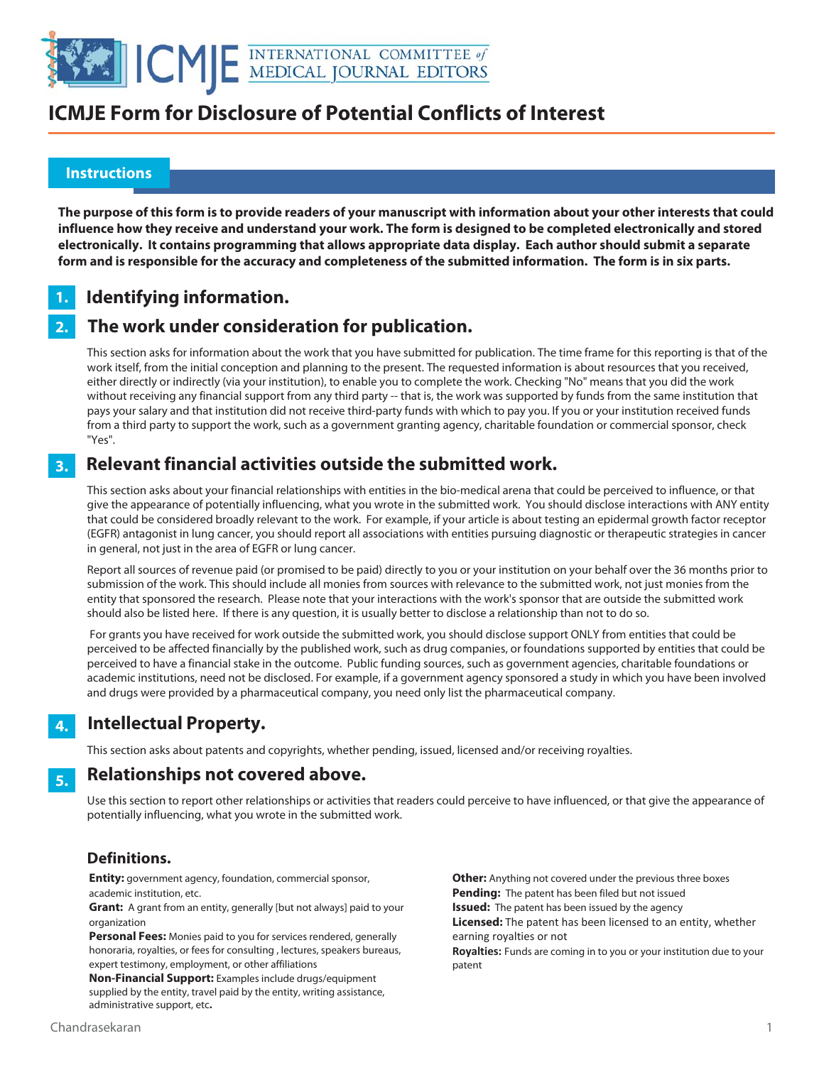

### **Instructions**

 

> **The purpose of this form is to provide readers of your manuscript with information about your other interests that could influence how they receive and understand your work. The form is designed to be completed electronically and stored electronically. It contains programming that allows appropriate data display. Each author should submit a separate form and is responsible for the accuracy and completeness of the submitted information. The form is in six parts.**

#### **Identifying information. 1.**

#### **The work under consideration for publication. 2.**

This section asks for information about the work that you have submitted for publication. The time frame for this reporting is that of the work itself, from the initial conception and planning to the present. The requested information is about resources that you received, either directly or indirectly (via your institution), to enable you to complete the work. Checking "No" means that you did the work without receiving any financial support from any third party -- that is, the work was supported by funds from the same institution that pays your salary and that institution did not receive third-party funds with which to pay you. If you or your institution received funds from a third party to support the work, such as a government granting agency, charitable foundation or commercial sponsor, check "Yes".

#### **Relevant financial activities outside the submitted work. 3.**

This section asks about your financial relationships with entities in the bio-medical arena that could be perceived to influence, or that give the appearance of potentially influencing, what you wrote in the submitted work. You should disclose interactions with ANY entity that could be considered broadly relevant to the work. For example, if your article is about testing an epidermal growth factor receptor (EGFR) antagonist in lung cancer, you should report all associations with entities pursuing diagnostic or therapeutic strategies in cancer in general, not just in the area of EGFR or lung cancer.

Report all sources of revenue paid (or promised to be paid) directly to you or your institution on your behalf over the 36 months prior to submission of the work. This should include all monies from sources with relevance to the submitted work, not just monies from the entity that sponsored the research. Please note that your interactions with the work's sponsor that are outside the submitted work should also be listed here. If there is any question, it is usually better to disclose a relationship than not to do so.

 For grants you have received for work outside the submitted work, you should disclose support ONLY from entities that could be perceived to be affected financially by the published work, such as drug companies, or foundations supported by entities that could be perceived to have a financial stake in the outcome. Public funding sources, such as government agencies, charitable foundations or academic institutions, need not be disclosed. For example, if a government agency sponsored a study in which you have been involved and drugs were provided by a pharmaceutical company, you need only list the pharmaceutical company.

#### **Intellectual Property. 4.**

This section asks about patents and copyrights, whether pending, issued, licensed and/or receiving royalties.

#### **Relationships not covered above. 5.**

Use this section to report other relationships or activities that readers could perceive to have influenced, or that give the appearance of potentially influencing, what you wrote in the submitted work.

### **Definitions.**

**Entity:** government agency, foundation, commercial sponsor, academic institution, etc.

**Grant:** A grant from an entity, generally [but not always] paid to your organization

**Personal Fees:** Monies paid to you for services rendered, generally honoraria, royalties, or fees for consulting , lectures, speakers bureaus, expert testimony, employment, or other affiliations

**Non-Financial Support:** Examples include drugs/equipment supplied by the entity, travel paid by the entity, writing assistance, administrative support, etc**.**

**Other:** Anything not covered under the previous three boxes **Pending:** The patent has been filed but not issued **Issued:** The patent has been issued by the agency **Licensed:** The patent has been licensed to an entity, whether earning royalties or not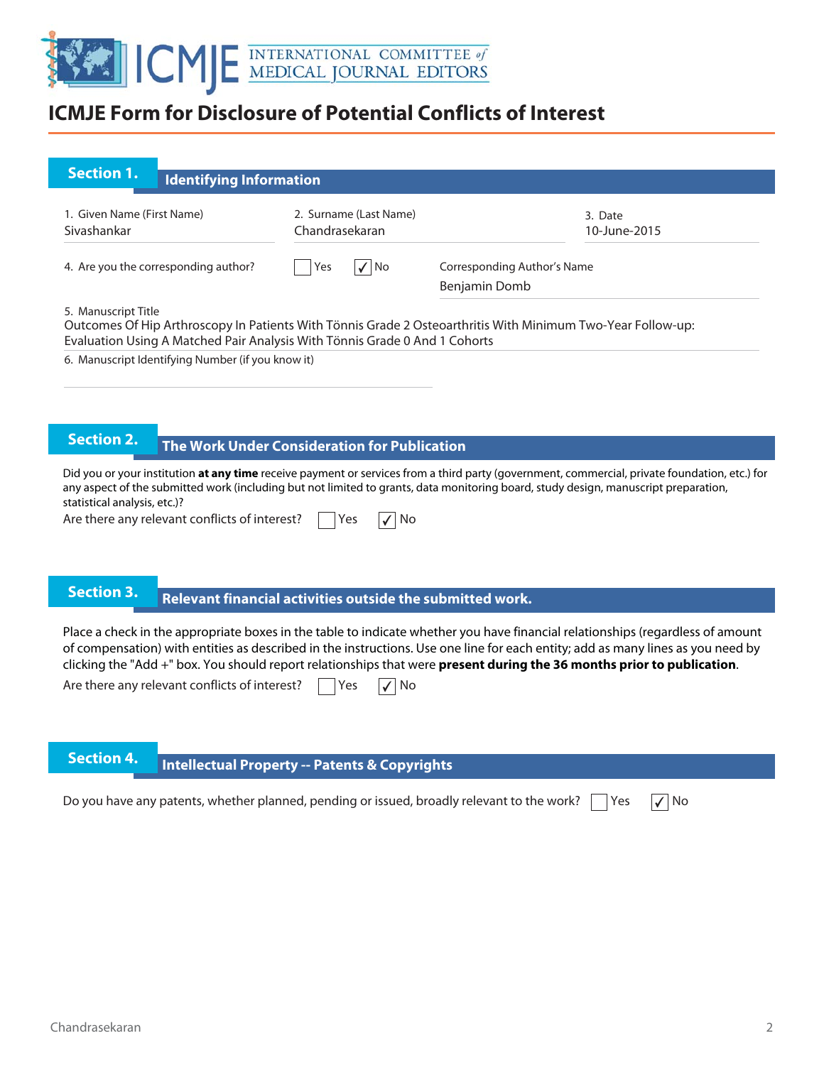

| <b>Section 1.</b>                         | <b>Identifying Information</b>       |                                                                            |                                                                                                             |
|-------------------------------------------|--------------------------------------|----------------------------------------------------------------------------|-------------------------------------------------------------------------------------------------------------|
| 1. Given Name (First Name)<br>Sivashankar |                                      | 2. Surname (Last Name)<br>Chandrasekaran                                   | 3. Date<br>10-June-2015                                                                                     |
|                                           | 4. Are you the corresponding author? | $\sqrt{N}$<br>Yes                                                          | Corresponding Author's Name<br>Benjamin Domb                                                                |
| 5. Manuscript Title                       |                                      | Evaluation Using A Matched Pair Analysis With Tönnis Grade 0 And 1 Cohorts | Outcomes Of Hip Arthroscopy In Patients With Tönnis Grade 2 Osteoarthritis With Minimum Two-Year Follow-up: |

### **The Work Under Consideration for Publication**

Did you or your institution **at any time** receive payment or services from a third party (government, commercial, private foundation, etc.) for any aspect of the submitted work (including but not limited to grants, data monitoring board, study design, manuscript preparation, statistical analysis, etc.)?

| Are there any relevant conflicts of interest? |  | <b>Yes</b> |  | $\sqrt{ }$ No |
|-----------------------------------------------|--|------------|--|---------------|
|-----------------------------------------------|--|------------|--|---------------|

# **Relevant financial activities outside the submitted work. Section 3. Relevant financial activities outset**

Place a check in the appropriate boxes in the table to indicate whether you have financial relationships (regardless of amount of compensation) with entities as described in the instructions. Use one line for each entity; add as many lines as you need by clicking the "Add +" box. You should report relationships that were **present during the 36 months prior to publication**.

Are there any relevant conflicts of interest?  $\Box$  Yes  $\Box$  No

# **Intellectual Property -- Patents & Copyrights**

Do you have any patents, whether planned, pending or issued, broadly relevant to the work?  $\vert \ \vert$  Yes  $\vert \sqrt{\vert N}$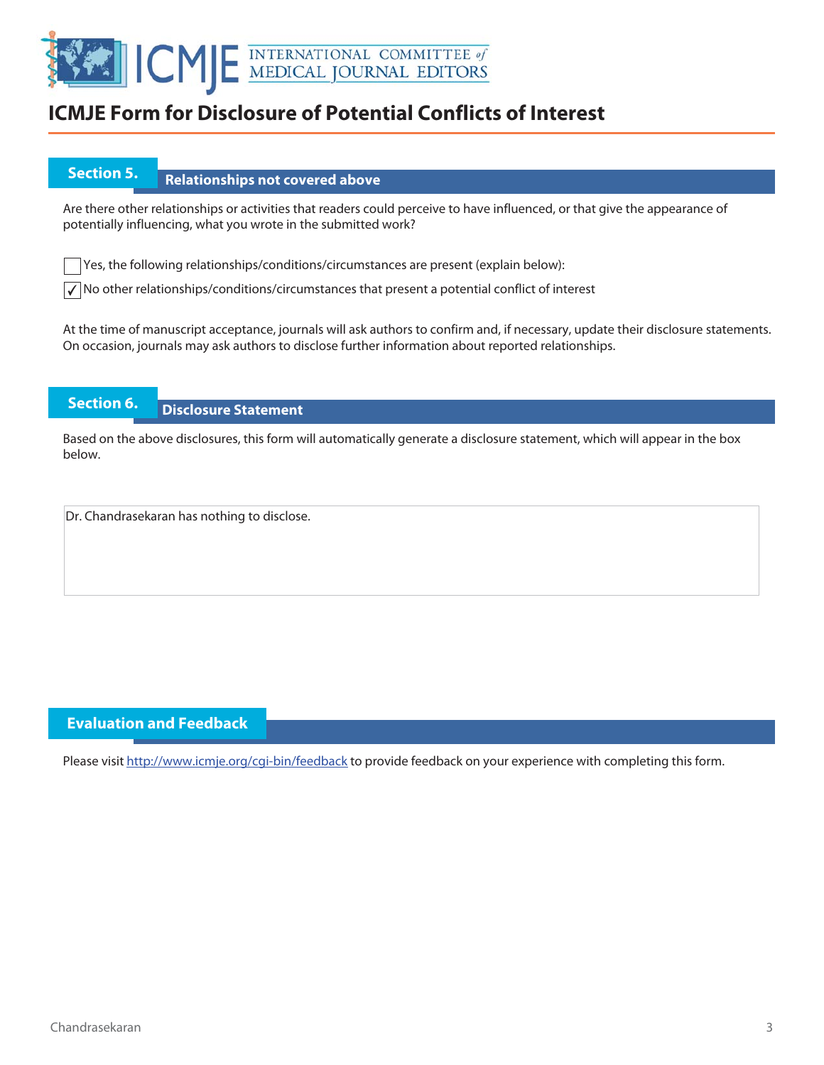

## **Section 5.** Relationships not covered above

Are there other relationships or activities that readers could perceive to have influenced, or that give the appearance of potentially influencing, what you wrote in the submitted work?

Yes, the following relationships/conditions/circumstances are present (explain below):

 $\sqrt{\ }$  No other relationships/conditions/circumstances that present a potential conflict of interest

At the time of manuscript acceptance, journals will ask authors to confirm and, if necessary, update their disclosure statements. On occasion, journals may ask authors to disclose further information about reported relationships.

### **Section 6. Disclosure Statement**

Based on the above disclosures, this form will automatically generate a disclosure statement, which will appear in the box below.

Dr. Chandrasekaran has nothing to disclose.

### **Evaluation and Feedback**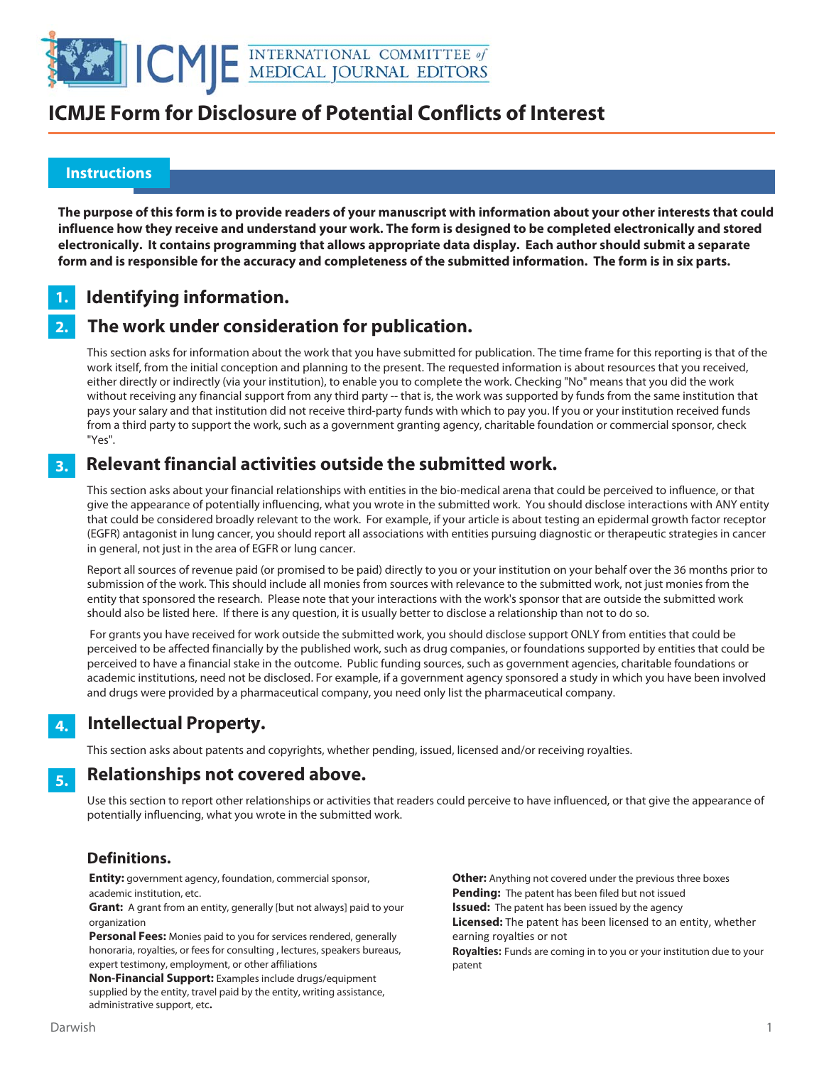

### **Instructions**

 

> **The purpose of this form is to provide readers of your manuscript with information about your other interests that could influence how they receive and understand your work. The form is designed to be completed electronically and stored electronically. It contains programming that allows appropriate data display. Each author should submit a separate form and is responsible for the accuracy and completeness of the submitted information. The form is in six parts.**

#### **Identifying information. 1.**

#### **The work under consideration for publication. 2.**

This section asks for information about the work that you have submitted for publication. The time frame for this reporting is that of the work itself, from the initial conception and planning to the present. The requested information is about resources that you received, either directly or indirectly (via your institution), to enable you to complete the work. Checking "No" means that you did the work without receiving any financial support from any third party -- that is, the work was supported by funds from the same institution that pays your salary and that institution did not receive third-party funds with which to pay you. If you or your institution received funds from a third party to support the work, such as a government granting agency, charitable foundation or commercial sponsor, check "Yes".

#### **Relevant financial activities outside the submitted work. 3.**

This section asks about your financial relationships with entities in the bio-medical arena that could be perceived to influence, or that give the appearance of potentially influencing, what you wrote in the submitted work. You should disclose interactions with ANY entity that could be considered broadly relevant to the work. For example, if your article is about testing an epidermal growth factor receptor (EGFR) antagonist in lung cancer, you should report all associations with entities pursuing diagnostic or therapeutic strategies in cancer in general, not just in the area of EGFR or lung cancer.

Report all sources of revenue paid (or promised to be paid) directly to you or your institution on your behalf over the 36 months prior to submission of the work. This should include all monies from sources with relevance to the submitted work, not just monies from the entity that sponsored the research. Please note that your interactions with the work's sponsor that are outside the submitted work should also be listed here. If there is any question, it is usually better to disclose a relationship than not to do so.

 For grants you have received for work outside the submitted work, you should disclose support ONLY from entities that could be perceived to be affected financially by the published work, such as drug companies, or foundations supported by entities that could be perceived to have a financial stake in the outcome. Public funding sources, such as government agencies, charitable foundations or academic institutions, need not be disclosed. For example, if a government agency sponsored a study in which you have been involved and drugs were provided by a pharmaceutical company, you need only list the pharmaceutical company.

#### **Intellectual Property. 4.**

This section asks about patents and copyrights, whether pending, issued, licensed and/or receiving royalties.

#### **Relationships not covered above. 5.**

Use this section to report other relationships or activities that readers could perceive to have influenced, or that give the appearance of potentially influencing, what you wrote in the submitted work.

### **Definitions.**

**Entity:** government agency, foundation, commercial sponsor, academic institution, etc.

**Grant:** A grant from an entity, generally [but not always] paid to your organization

**Personal Fees:** Monies paid to you for services rendered, generally honoraria, royalties, or fees for consulting , lectures, speakers bureaus, expert testimony, employment, or other affiliations

**Non-Financial Support:** Examples include drugs/equipment supplied by the entity, travel paid by the entity, writing assistance, administrative support, etc**.**

**Other:** Anything not covered under the previous three boxes **Pending:** The patent has been filed but not issued **Issued:** The patent has been issued by the agency **Licensed:** The patent has been licensed to an entity, whether earning royalties or not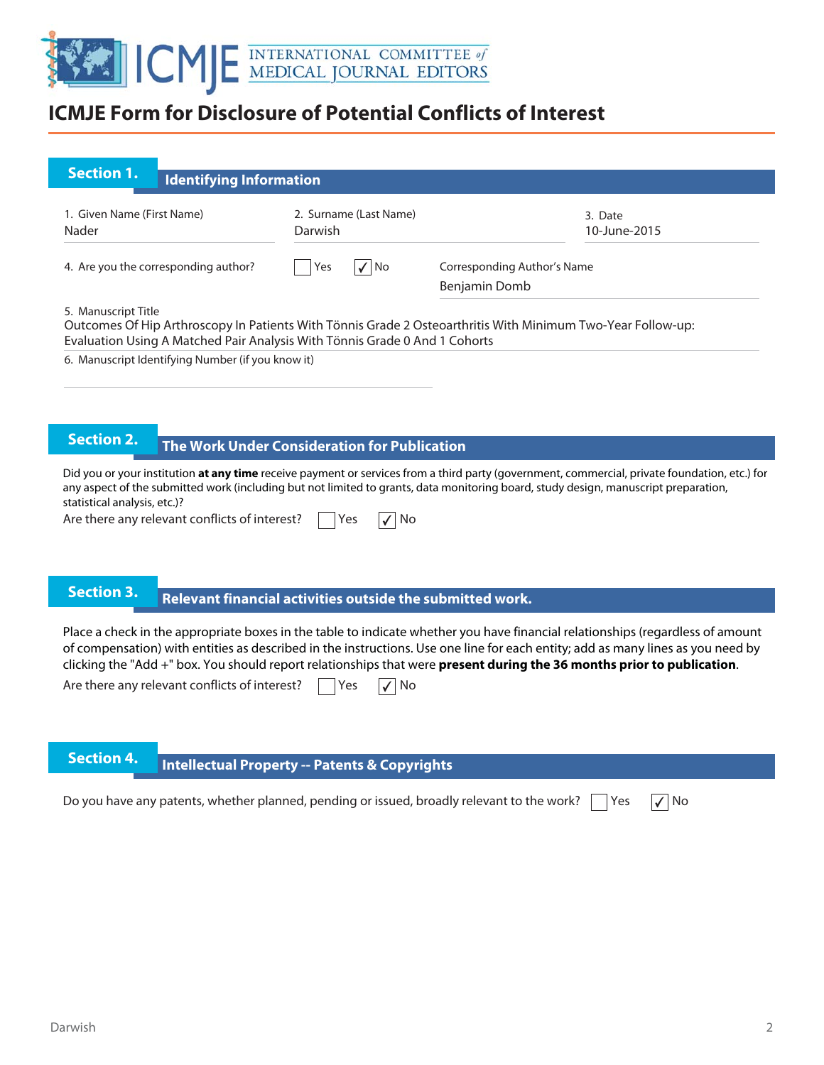

| <b>Section 1.</b><br><b>Identifying Information</b>                                               |                                                   |                                                                                                             |
|---------------------------------------------------------------------------------------------------|---------------------------------------------------|-------------------------------------------------------------------------------------------------------------|
| 1. Given Name (First Name)<br>Nader                                                               | 2. Surname (Last Name)<br>Darwish                 | 3. Date<br>10-June-2015                                                                                     |
| 4. Are you the corresponding author?                                                              | $\sqrt{ N_{0}}$<br>Yes                            | Corresponding Author's Name<br>Benjamin Domb                                                                |
| 5. Manuscript Title<br>Evaluation Using A Matched Pair Analysis With Tönnis Grade 0 And 1 Cohorts |                                                   | Outcomes Of Hip Arthroscopy In Patients With Tönnis Grade 2 Osteoarthritis With Minimum Two-Year Follow-up: |
|                                                                                                   | 6. Manuscript Identifying Number (if you know it) |                                                                                                             |

## **The Work Under Consideration for Publication**

Did you or your institution **at any time** receive payment or services from a third party (government, commercial, private foundation, etc.) for any aspect of the submitted work (including but not limited to grants, data monitoring board, study design, manuscript preparation, statistical analysis, etc.)?

| Are there any relevant conflicts of interest? |  | <b>Yes</b> |  | $\sqrt{ }$ No |
|-----------------------------------------------|--|------------|--|---------------|
|-----------------------------------------------|--|------------|--|---------------|

# **Relevant financial activities outside the submitted work. Section 3. Relevant financial activities outset**

Place a check in the appropriate boxes in the table to indicate whether you have financial relationships (regardless of amount of compensation) with entities as described in the instructions. Use one line for each entity; add as many lines as you need by clicking the "Add +" box. You should report relationships that were **present during the 36 months prior to publication**.

| Are there any relevant conflicts of interest? |  | <b>Yes</b> |  | $\sqrt{N}$ |
|-----------------------------------------------|--|------------|--|------------|
|-----------------------------------------------|--|------------|--|------------|

# **Intellectual Property -- Patents & Copyrights**

Do you have any patents, whether planned, pending or issued, broadly relevant to the work?  $\Box$  Yes  $\Box$  No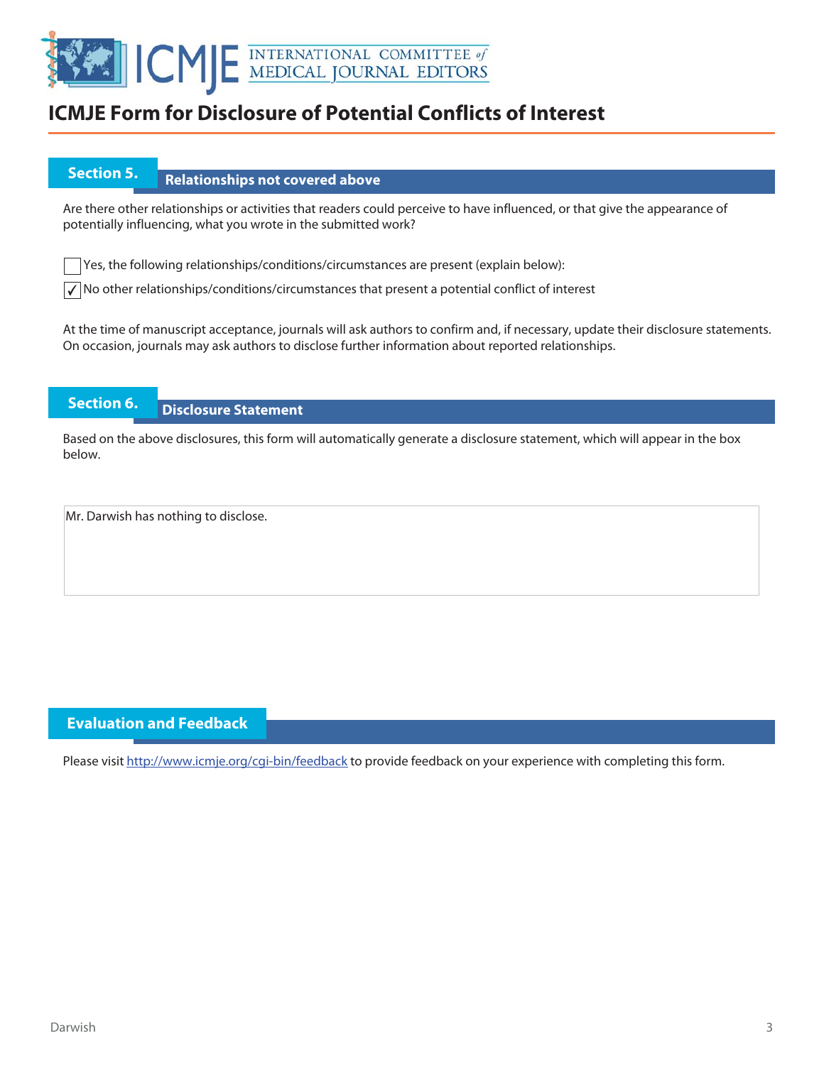

### **Section 5.** Relationships not covered above

Are there other relationships or activities that readers could perceive to have influenced, or that give the appearance of potentially influencing, what you wrote in the submitted work?

Yes, the following relationships/conditions/circumstances are present (explain below):

 $\sqrt{\ }$  No other relationships/conditions/circumstances that present a potential conflict of interest

At the time of manuscript acceptance, journals will ask authors to confirm and, if necessary, update their disclosure statements. On occasion, journals may ask authors to disclose further information about reported relationships.

### **Section 6. Disclosure Statement**

Based on the above disclosures, this form will automatically generate a disclosure statement, which will appear in the box below.

Mr. Darwish has nothing to disclose.

### **Evaluation and Feedback**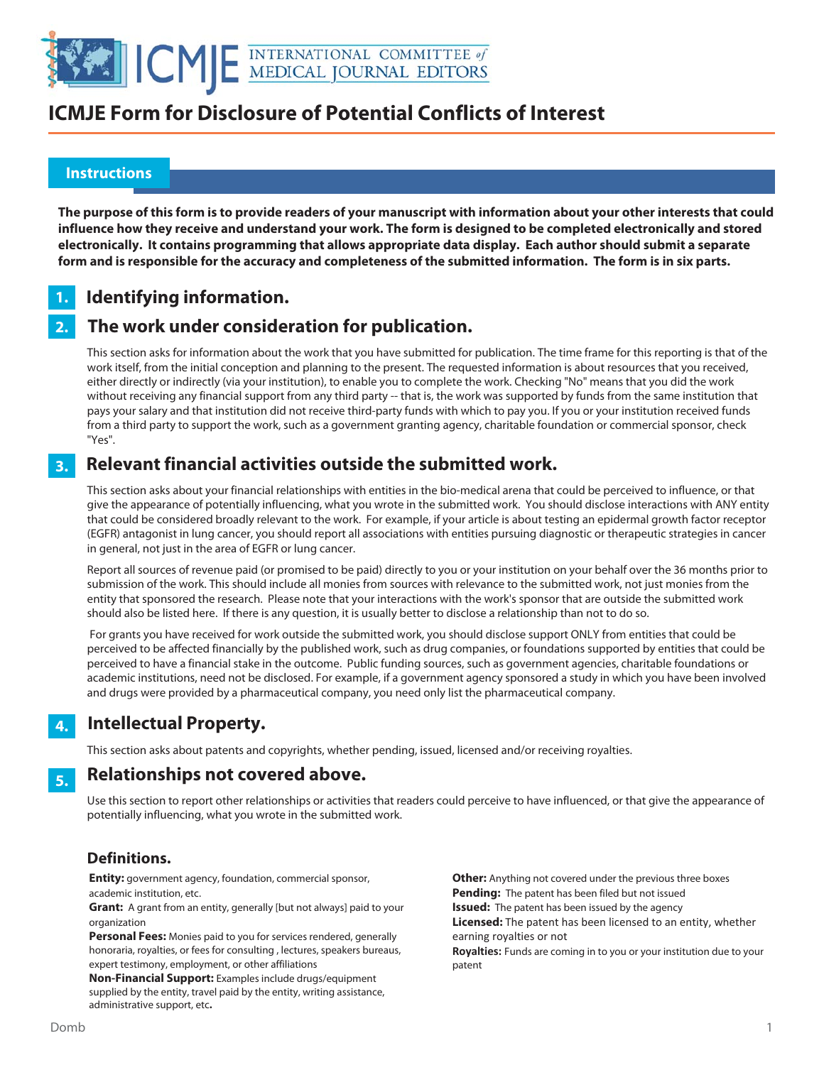

### **Instructions**

 

> **The purpose of this form is to provide readers of your manuscript with information about your other interests that could influence how they receive and understand your work. The form is designed to be completed electronically and stored electronically. It contains programming that allows appropriate data display. Each author should submit a separate form and is responsible for the accuracy and completeness of the submitted information. The form is in six parts.**

#### **Identifying information. 1.**

#### **The work under consideration for publication. 2.**

This section asks for information about the work that you have submitted for publication. The time frame for this reporting is that of the work itself, from the initial conception and planning to the present. The requested information is about resources that you received, either directly or indirectly (via your institution), to enable you to complete the work. Checking "No" means that you did the work without receiving any financial support from any third party -- that is, the work was supported by funds from the same institution that pays your salary and that institution did not receive third-party funds with which to pay you. If you or your institution received funds from a third party to support the work, such as a government granting agency, charitable foundation or commercial sponsor, check "Yes".

#### **Relevant financial activities outside the submitted work. 3.**

This section asks about your financial relationships with entities in the bio-medical arena that could be perceived to influence, or that give the appearance of potentially influencing, what you wrote in the submitted work. You should disclose interactions with ANY entity that could be considered broadly relevant to the work. For example, if your article is about testing an epidermal growth factor receptor (EGFR) antagonist in lung cancer, you should report all associations with entities pursuing diagnostic or therapeutic strategies in cancer in general, not just in the area of EGFR or lung cancer.

Report all sources of revenue paid (or promised to be paid) directly to you or your institution on your behalf over the 36 months prior to submission of the work. This should include all monies from sources with relevance to the submitted work, not just monies from the entity that sponsored the research. Please note that your interactions with the work's sponsor that are outside the submitted work should also be listed here. If there is any question, it is usually better to disclose a relationship than not to do so.

 For grants you have received for work outside the submitted work, you should disclose support ONLY from entities that could be perceived to be affected financially by the published work, such as drug companies, or foundations supported by entities that could be perceived to have a financial stake in the outcome. Public funding sources, such as government agencies, charitable foundations or academic institutions, need not be disclosed. For example, if a government agency sponsored a study in which you have been involved and drugs were provided by a pharmaceutical company, you need only list the pharmaceutical company.

#### **Intellectual Property. 4.**

This section asks about patents and copyrights, whether pending, issued, licensed and/or receiving royalties.

#### **Relationships not covered above. 5.**

Use this section to report other relationships or activities that readers could perceive to have influenced, or that give the appearance of potentially influencing, what you wrote in the submitted work.

### **Definitions.**

**Entity:** government agency, foundation, commercial sponsor, academic institution, etc.

**Grant:** A grant from an entity, generally [but not always] paid to your organization

**Personal Fees:** Monies paid to you for services rendered, generally honoraria, royalties, or fees for consulting , lectures, speakers bureaus, expert testimony, employment, or other affiliations

**Non-Financial Support:** Examples include drugs/equipment supplied by the entity, travel paid by the entity, writing assistance, administrative support, etc**.**

**Other:** Anything not covered under the previous three boxes **Pending:** The patent has been filed but not issued **Issued:** The patent has been issued by the agency **Licensed:** The patent has been licensed to an entity, whether earning royalties or not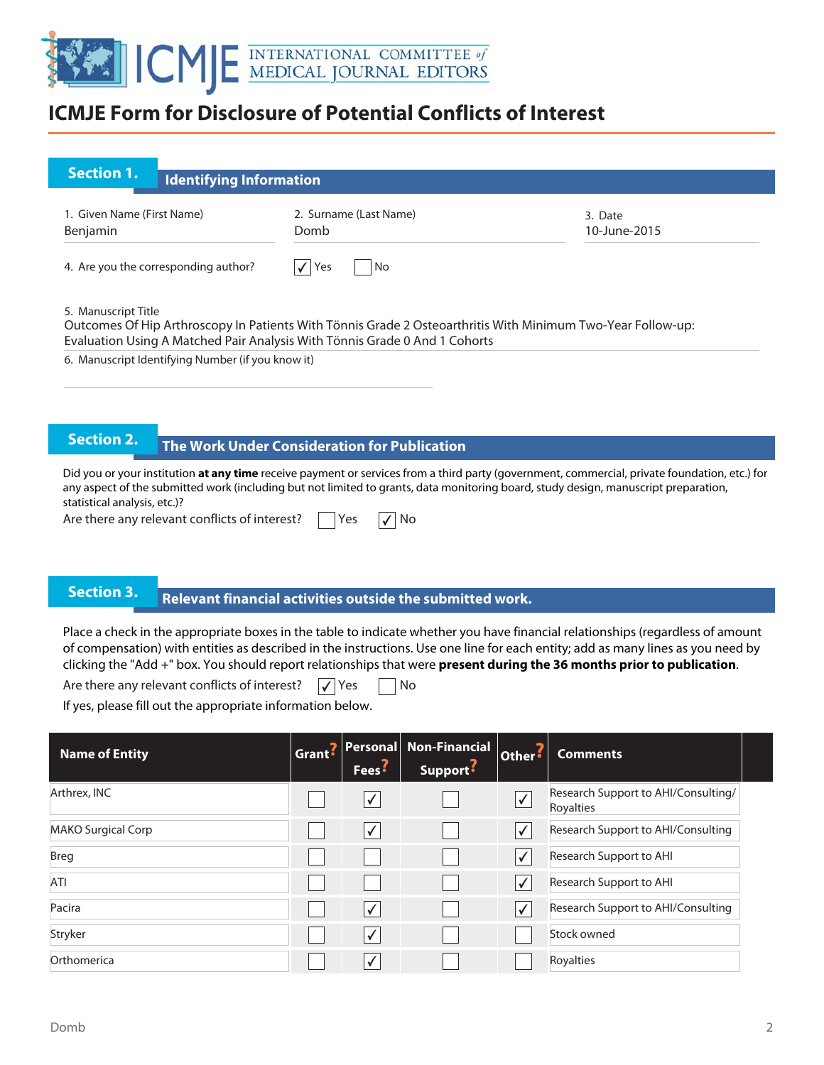

| <b>Section 1.</b>                      | <b>Identifying Information</b>       |                                |                         |  |
|----------------------------------------|--------------------------------------|--------------------------------|-------------------------|--|
| 1. Given Name (First Name)<br>Benjamin |                                      | 2. Surname (Last Name)<br>Domb | 3. Date<br>10-June-2015 |  |
|                                        | 4. Are you the corresponding author? | No<br>Yes                      |                         |  |

5. Manuscript Title

Outcomes Of Hip Arthroscopy In Patients With Tönnis Grade 2 Osteoarthritis With Minimum Two-Year Follow-up: Evaluation Using A Matched Pair Analysis With Tönnis Grade 0 And 1 Cohorts

6. Manuscript Identifying Number (if you know it)

# **The Work Under Consideration for Publication**

Did you or your institution **at any time** receive payment or services from a third party (government, commercial, private foundation, etc.) for any aspect of the submitted work (including but not limited to grants, data monitoring board, study design, manuscript preparation, statistical analysis, etc.)?

| Are there any relevant conflicts of interest? |  | <b>Yes</b> |  | $\sqrt{ }$ No |
|-----------------------------------------------|--|------------|--|---------------|
|-----------------------------------------------|--|------------|--|---------------|

# **Relevant financial activities outside the submitted work. Section 3. Relevant financial activities outset**

Place a check in the appropriate boxes in the table to indicate whether you have financial relationships (regardless of amount of compensation) with entities as described in the instructions. Use one line for each entity; add as many lines as you need by clicking the "Add +" box. You should report relationships that were **present during the 36 months prior to publication**.

Are there any relevant conflicts of interest?  $\sqrt{\ }$  Yes  $\Box$  No

If yes, please fill out the appropriate information below.

| <b>Name of Entity</b>     | Grant <sup>:</sup> | <b>Fees</b>  | Personal Non-Financial<br>Support <sup>5</sup> | $ $ Other?   | <b>Comments</b>                                  |  |
|---------------------------|--------------------|--------------|------------------------------------------------|--------------|--------------------------------------------------|--|
| Arthrex, INC              |                    | $\checkmark$ |                                                | $\checkmark$ | Research Support to AHI/Consulting/<br>Royalties |  |
| <b>MAKO Surgical Corp</b> |                    | $\checkmark$ |                                                | $\checkmark$ | Research Support to AHI/Consulting               |  |
| <b>Breg</b>               |                    |              |                                                | $\checkmark$ | Research Support to AHI                          |  |
| ATI                       |                    |              |                                                | $\checkmark$ | Research Support to AHI                          |  |
| Pacira                    |                    | $\checkmark$ |                                                | $\checkmark$ | Research Support to AHI/Consulting               |  |
| Stryker                   |                    | $\checkmark$ |                                                |              | Stock owned                                      |  |
| Orthomerica               |                    |              |                                                |              | Royalties                                        |  |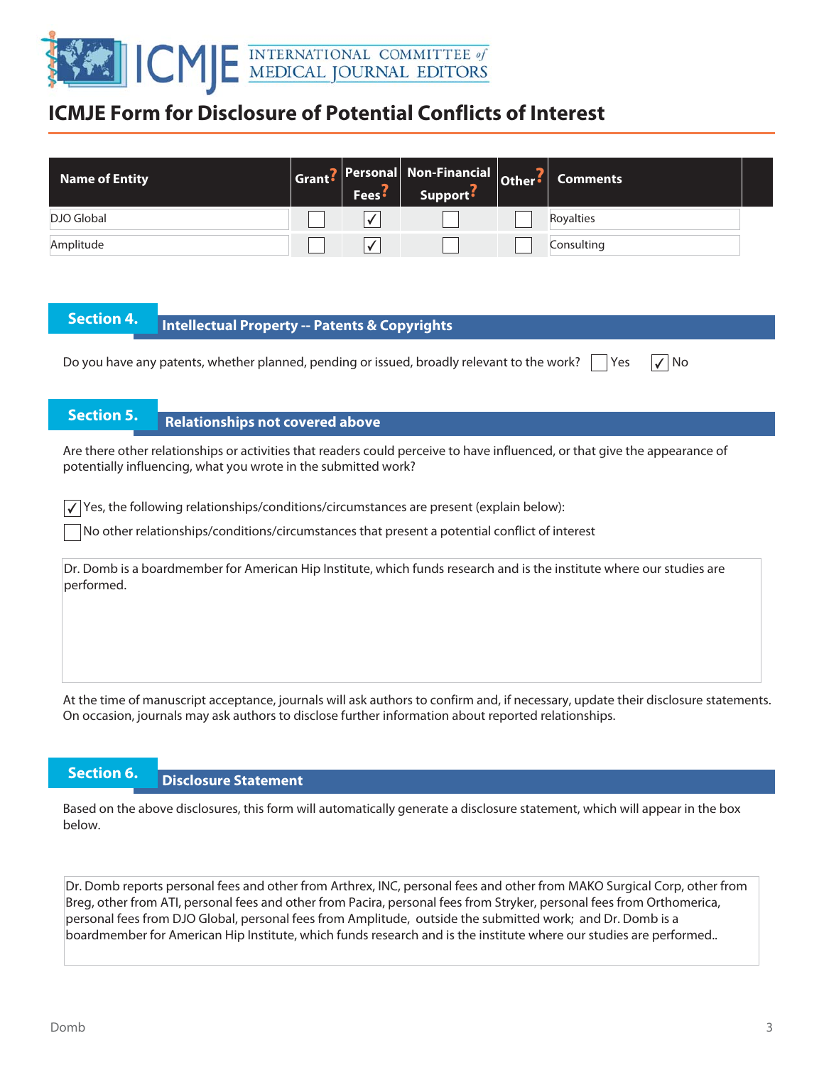

| <b>Name of Entity</b> | <b>Fees</b> | Grant? Personal Non-Financial Other?<br>Support <sup>:</sup> | Comments   |  |
|-----------------------|-------------|--------------------------------------------------------------|------------|--|
| DJO Global            |             |                                                              | Royalties  |  |
| Amplitude             |             |                                                              | Consulting |  |

# **Intellectual Property -- Patents & Copyrights**

Do you have any patents, whether planned, pending or issued, broadly relevant to the work?  $\Box$  Yes  $\Box$  No

## **Section 5.** Relationships not covered above

Are there other relationships or activities that readers could perceive to have influenced, or that give the appearance of potentially influencing, what you wrote in the submitted work?

 $\sqrt{\sqrt{2}}$  Yes, the following relationships/conditions/circumstances are present (explain below):

No other relationships/conditions/circumstances that present a potential conflict of interest

Dr. Domb is a boardmember for American Hip Institute, which funds research and is the institute where our studies are performed.

At the time of manuscript acceptance, journals will ask authors to confirm and, if necessary, update their disclosure statements. On occasion, journals may ask authors to disclose further information about reported relationships.

### **Section 6. Disclosure Statement**

Based on the above disclosures, this form will automatically generate a disclosure statement, which will appear in the box below.

Dr. Domb reports personal fees and other from Arthrex, INC, personal fees and other from MAKO Surgical Corp, other from Breg, other from ATI, personal fees and other from Pacira, personal fees from Stryker, personal fees from Orthomerica, personal fees from DJO Global, personal fees from Amplitude, outside the submitted work; and Dr. Domb is a boardmember for American Hip Institute, which funds research and is the institute where our studies are performed..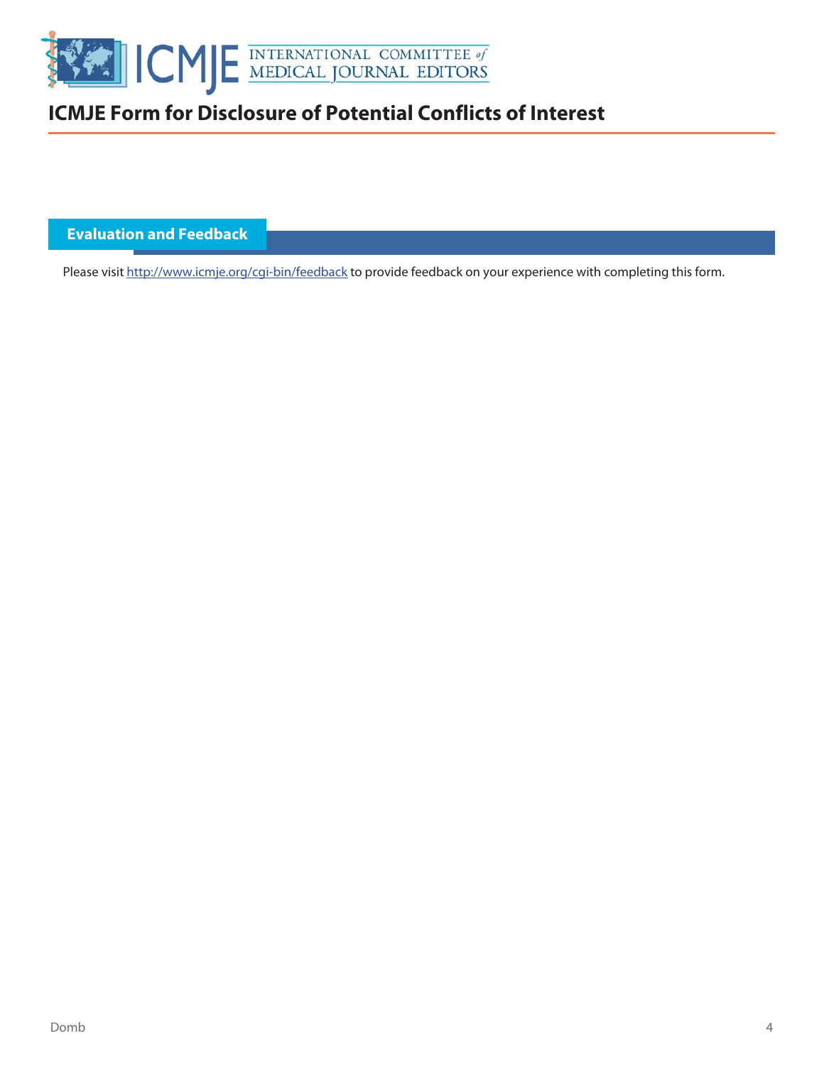

**Evaluation and Feedback**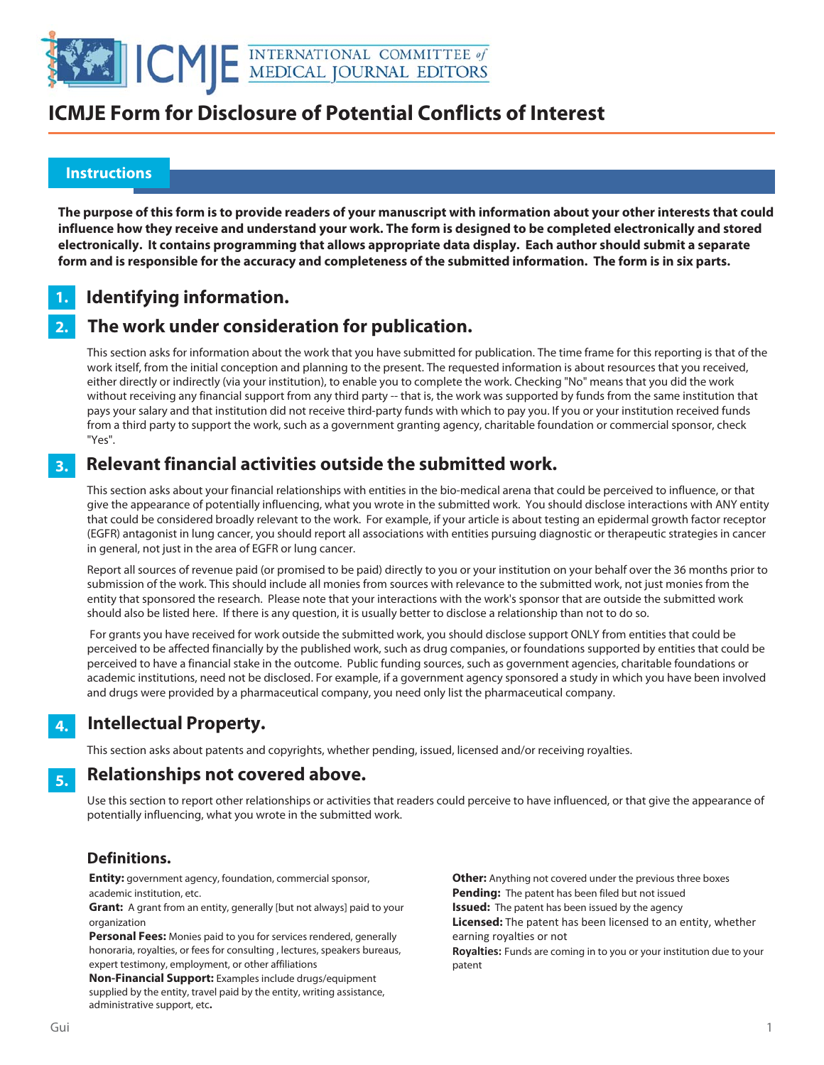

### **Instructions**

 

> **The purpose of this form is to provide readers of your manuscript with information about your other interests that could influence how they receive and understand your work. The form is designed to be completed electronically and stored electronically. It contains programming that allows appropriate data display. Each author should submit a separate form and is responsible for the accuracy and completeness of the submitted information. The form is in six parts.**

#### **Identifying information. 1.**

#### **The work under consideration for publication. 2.**

This section asks for information about the work that you have submitted for publication. The time frame for this reporting is that of the work itself, from the initial conception and planning to the present. The requested information is about resources that you received, either directly or indirectly (via your institution), to enable you to complete the work. Checking "No" means that you did the work without receiving any financial support from any third party -- that is, the work was supported by funds from the same institution that pays your salary and that institution did not receive third-party funds with which to pay you. If you or your institution received funds from a third party to support the work, such as a government granting agency, charitable foundation or commercial sponsor, check "Yes".

#### **Relevant financial activities outside the submitted work. 3.**

This section asks about your financial relationships with entities in the bio-medical arena that could be perceived to influence, or that give the appearance of potentially influencing, what you wrote in the submitted work. You should disclose interactions with ANY entity that could be considered broadly relevant to the work. For example, if your article is about testing an epidermal growth factor receptor (EGFR) antagonist in lung cancer, you should report all associations with entities pursuing diagnostic or therapeutic strategies in cancer in general, not just in the area of EGFR or lung cancer.

Report all sources of revenue paid (or promised to be paid) directly to you or your institution on your behalf over the 36 months prior to submission of the work. This should include all monies from sources with relevance to the submitted work, not just monies from the entity that sponsored the research. Please note that your interactions with the work's sponsor that are outside the submitted work should also be listed here. If there is any question, it is usually better to disclose a relationship than not to do so.

 For grants you have received for work outside the submitted work, you should disclose support ONLY from entities that could be perceived to be affected financially by the published work, such as drug companies, or foundations supported by entities that could be perceived to have a financial stake in the outcome. Public funding sources, such as government agencies, charitable foundations or academic institutions, need not be disclosed. For example, if a government agency sponsored a study in which you have been involved and drugs were provided by a pharmaceutical company, you need only list the pharmaceutical company.

#### **Intellectual Property. 4.**

This section asks about patents and copyrights, whether pending, issued, licensed and/or receiving royalties.

#### **Relationships not covered above. 5.**

Use this section to report other relationships or activities that readers could perceive to have influenced, or that give the appearance of potentially influencing, what you wrote in the submitted work.

### **Definitions.**

**Entity:** government agency, foundation, commercial sponsor, academic institution, etc.

**Grant:** A grant from an entity, generally [but not always] paid to your organization

**Personal Fees:** Monies paid to you for services rendered, generally honoraria, royalties, or fees for consulting , lectures, speakers bureaus, expert testimony, employment, or other affiliations

**Non-Financial Support:** Examples include drugs/equipment supplied by the entity, travel paid by the entity, writing assistance, administrative support, etc**.**

**Other:** Anything not covered under the previous three boxes **Pending:** The patent has been filed but not issued **Issued:** The patent has been issued by the agency **Licensed:** The patent has been licensed to an entity, whether earning royalties or not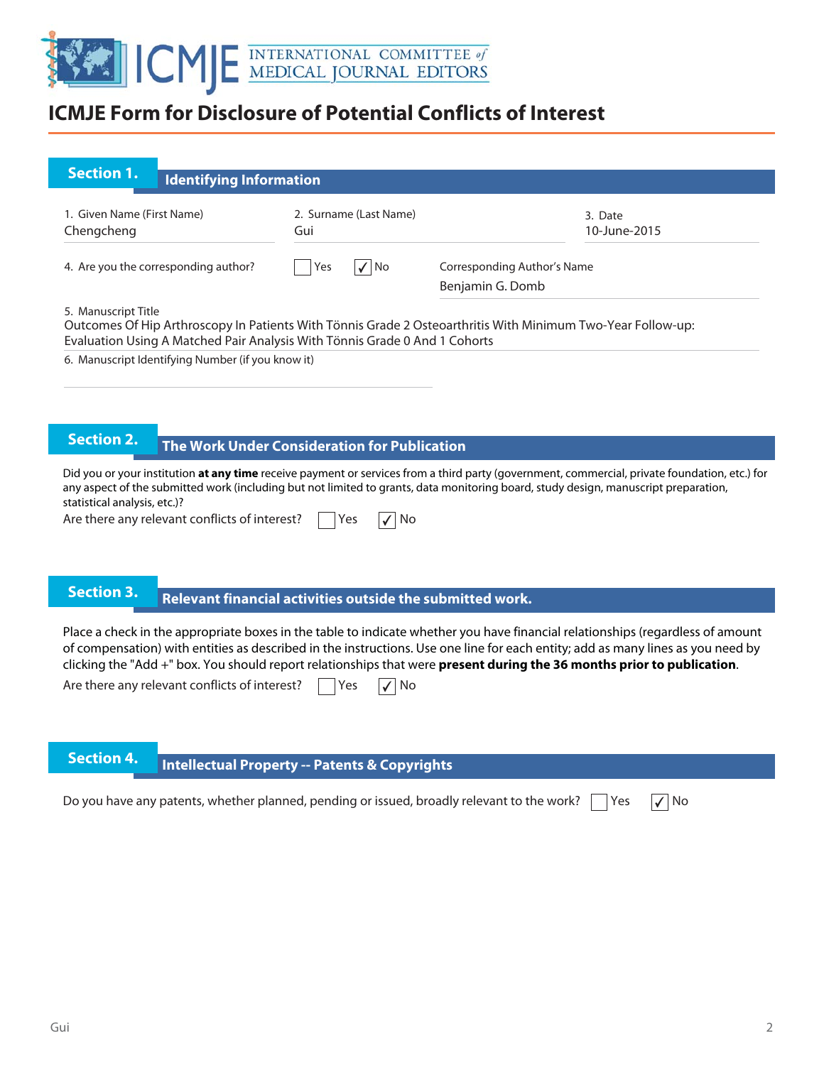

|                                                                                                   |                                      |     |              |                                                                                                             | 10-June-2015 |
|---------------------------------------------------------------------------------------------------|--------------------------------------|-----|--------------|-------------------------------------------------------------------------------------------------------------|--------------|
|                                                                                                   | 4. Are you the corresponding author? | Yes | $\sqrt{ NQ}$ | Corresponding Author's Name<br>Benjamin G. Domb                                                             |              |
| 5. Manuscript Title<br>Evaluation Using A Matched Pair Analysis With Tönnis Grade 0 And 1 Cohorts |                                      |     |              | Outcomes Of Hip Arthroscopy In Patients With Tönnis Grade 2 Osteoarthritis With Minimum Two-Year Follow-up: |              |
| 6. Manuscript Identifying Number (if you know it)                                                 |                                      |     |              |                                                                                                             |              |

Did you or your institution **at any time** receive payment or services from a third party (government, commercial, private foundation, etc.) for any aspect of the submitted work (including but not limited to grants, data monitoring board, study design, manuscript preparation, statistical analysis, etc.)?

| Are there any relevant conflicts of interest? |  | <b>Yes</b> |  | $\sqrt{ }$ No |
|-----------------------------------------------|--|------------|--|---------------|
|-----------------------------------------------|--|------------|--|---------------|

# **Relevant financial activities outside the submitted work. Section 3. Relevant financial activities outset**

Place a check in the appropriate boxes in the table to indicate whether you have financial relationships (regardless of amount of compensation) with entities as described in the instructions. Use one line for each entity; add as many lines as you need by clicking the "Add +" box. You should report relationships that were **present during the 36 months prior to publication**.

Are there any relevant conflicts of interest?  $\Box$  Yes  $\Box$  No

# **Intellectual Property -- Patents & Copyrights**

|  |  | Do you have any patents, whether planned, pending or issued, broadly relevant to the work? $\Box$ Yes $\Box$ No |
|--|--|-----------------------------------------------------------------------------------------------------------------|
|--|--|-----------------------------------------------------------------------------------------------------------------|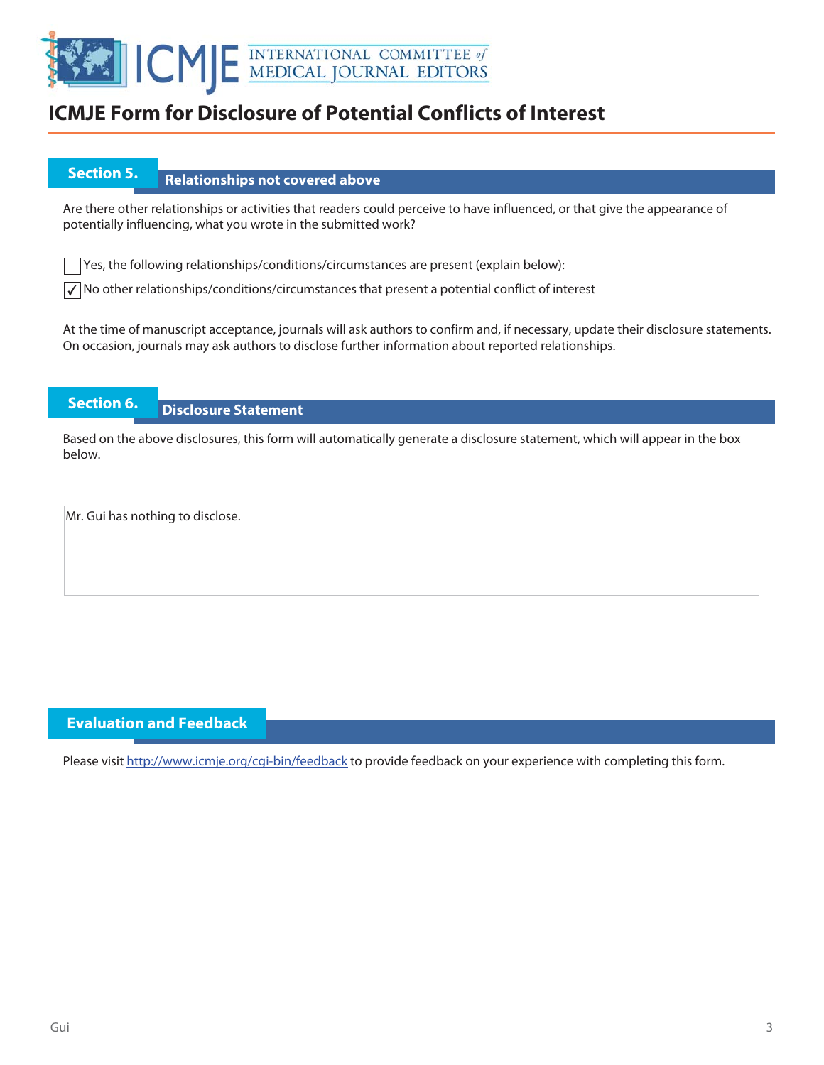

### **Section 5.** Relationships not covered above

Are there other relationships or activities that readers could perceive to have influenced, or that give the appearance of potentially influencing, what you wrote in the submitted work?

Yes, the following relationships/conditions/circumstances are present (explain below):

 $\sqrt{\ }$  No other relationships/conditions/circumstances that present a potential conflict of interest

At the time of manuscript acceptance, journals will ask authors to confirm and, if necessary, update their disclosure statements. On occasion, journals may ask authors to disclose further information about reported relationships.

### **Section 6. Disclosure Statement**

Based on the above disclosures, this form will automatically generate a disclosure statement, which will appear in the box below.

Mr. Gui has nothing to disclose.

### **Evaluation and Feedback**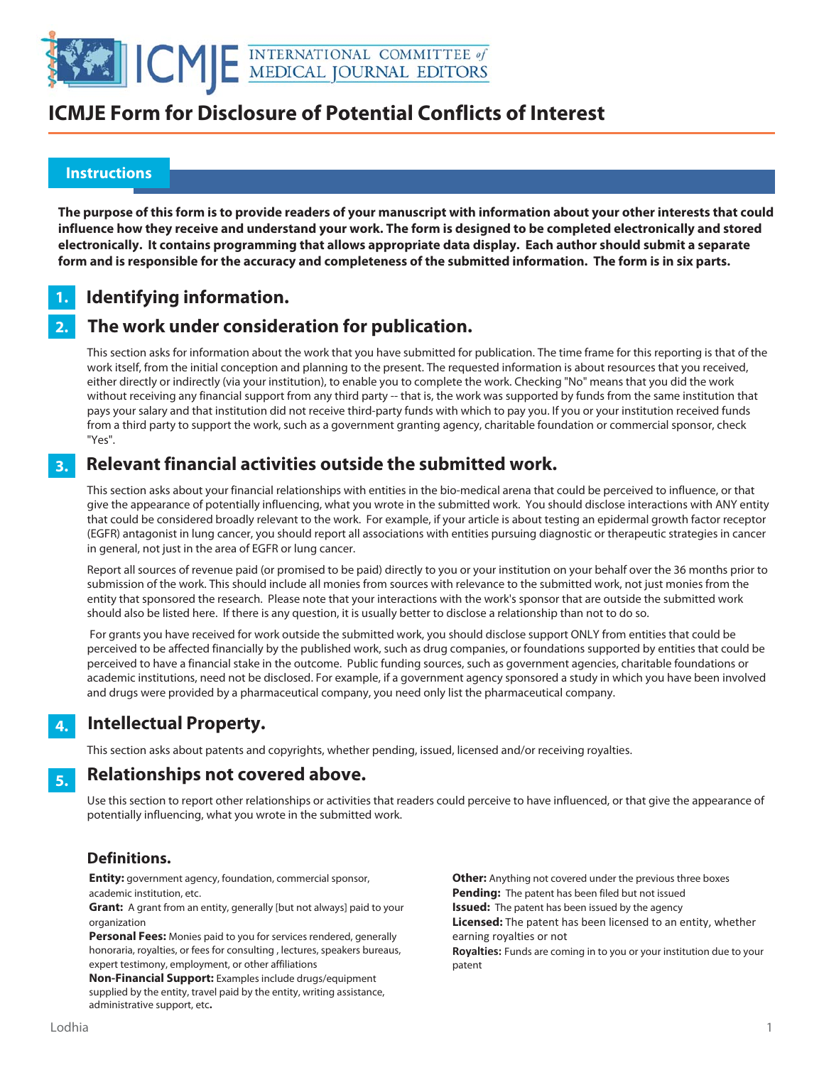

### **Instructions**

 

> **The purpose of this form is to provide readers of your manuscript with information about your other interests that could influence how they receive and understand your work. The form is designed to be completed electronically and stored electronically. It contains programming that allows appropriate data display. Each author should submit a separate form and is responsible for the accuracy and completeness of the submitted information. The form is in six parts.**

#### **Identifying information. 1.**

#### **The work under consideration for publication. 2.**

This section asks for information about the work that you have submitted for publication. The time frame for this reporting is that of the work itself, from the initial conception and planning to the present. The requested information is about resources that you received, either directly or indirectly (via your institution), to enable you to complete the work. Checking "No" means that you did the work without receiving any financial support from any third party -- that is, the work was supported by funds from the same institution that pays your salary and that institution did not receive third-party funds with which to pay you. If you or your institution received funds from a third party to support the work, such as a government granting agency, charitable foundation or commercial sponsor, check "Yes".

#### **Relevant financial activities outside the submitted work. 3.**

This section asks about your financial relationships with entities in the bio-medical arena that could be perceived to influence, or that give the appearance of potentially influencing, what you wrote in the submitted work. You should disclose interactions with ANY entity that could be considered broadly relevant to the work. For example, if your article is about testing an epidermal growth factor receptor (EGFR) antagonist in lung cancer, you should report all associations with entities pursuing diagnostic or therapeutic strategies in cancer in general, not just in the area of EGFR or lung cancer.

Report all sources of revenue paid (or promised to be paid) directly to you or your institution on your behalf over the 36 months prior to submission of the work. This should include all monies from sources with relevance to the submitted work, not just monies from the entity that sponsored the research. Please note that your interactions with the work's sponsor that are outside the submitted work should also be listed here. If there is any question, it is usually better to disclose a relationship than not to do so.

 For grants you have received for work outside the submitted work, you should disclose support ONLY from entities that could be perceived to be affected financially by the published work, such as drug companies, or foundations supported by entities that could be perceived to have a financial stake in the outcome. Public funding sources, such as government agencies, charitable foundations or academic institutions, need not be disclosed. For example, if a government agency sponsored a study in which you have been involved and drugs were provided by a pharmaceutical company, you need only list the pharmaceutical company.

#### **Intellectual Property. 4.**

This section asks about patents and copyrights, whether pending, issued, licensed and/or receiving royalties.

#### **Relationships not covered above. 5.**

Use this section to report other relationships or activities that readers could perceive to have influenced, or that give the appearance of potentially influencing, what you wrote in the submitted work.

### **Definitions.**

**Entity:** government agency, foundation, commercial sponsor, academic institution, etc.

**Grant:** A grant from an entity, generally [but not always] paid to your organization

**Personal Fees:** Monies paid to you for services rendered, generally honoraria, royalties, or fees for consulting , lectures, speakers bureaus, expert testimony, employment, or other affiliations

**Non-Financial Support:** Examples include drugs/equipment supplied by the entity, travel paid by the entity, writing assistance, administrative support, etc**.**

**Other:** Anything not covered under the previous three boxes **Pending:** The patent has been filed but not issued **Issued:** The patent has been issued by the agency **Licensed:** The patent has been licensed to an entity, whether earning royalties or not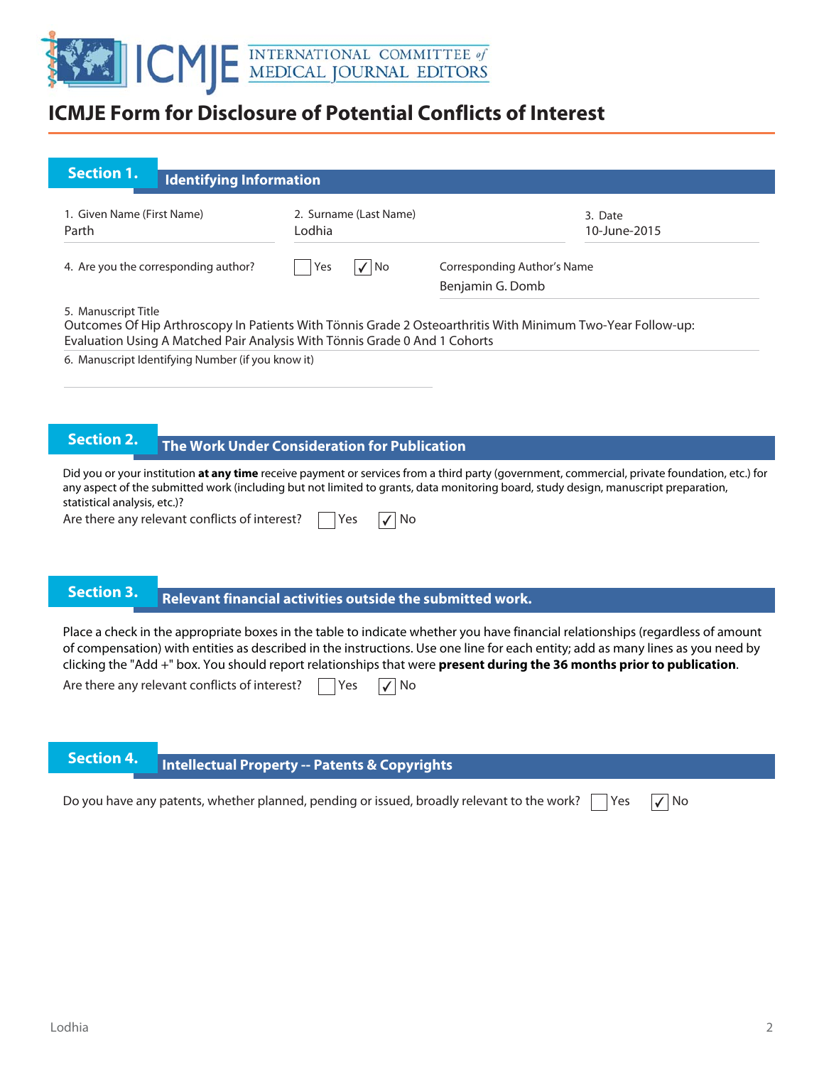

| <b>Section 1.</b><br><b>Identifying Information</b>                                               |                                  |                                                                                                             |
|---------------------------------------------------------------------------------------------------|----------------------------------|-------------------------------------------------------------------------------------------------------------|
| 1. Given Name (First Name)<br>Parth                                                               | 2. Surname (Last Name)<br>Lodhia | 3. Date<br>10-June-2015                                                                                     |
| 4. Are you the corresponding author?                                                              | $\sqrt{ NQ}$<br>Yes              | Corresponding Author's Name<br>Benjamin G. Domb                                                             |
| 5. Manuscript Title<br>Evaluation Using A Matched Pair Analysis With Tönnis Grade 0 And 1 Cohorts |                                  | Outcomes Of Hip Arthroscopy In Patients With Tönnis Grade 2 Osteoarthritis With Minimum Two-Year Follow-up: |

### **The Work Under Consideration for Publication**

Did you or your institution **at any time** receive payment or services from a third party (government, commercial, private foundation, etc.) for any aspect of the submitted work (including but not limited to grants, data monitoring board, study design, manuscript preparation, statistical analysis, etc.)?

| Are there any relevant conflicts of interest? |  | <b>Yes</b> |  | $\sqrt{ }$ No |
|-----------------------------------------------|--|------------|--|---------------|
|-----------------------------------------------|--|------------|--|---------------|

# **Relevant financial activities outside the submitted work. Section 3. Relevant financial activities outset**

Place a check in the appropriate boxes in the table to indicate whether you have financial relationships (regardless of amount of compensation) with entities as described in the instructions. Use one line for each entity; add as many lines as you need by clicking the "Add +" box. You should report relationships that were **present during the 36 months prior to publication**.

Are there any relevant conflicts of interest?  $\Box$  Yes  $\Box$  No

# **Intellectual Property -- Patents & Copyrights**

Do you have any patents, whether planned, pending or issued, broadly relevant to the work?  $\vert \ \vert$  Yes  $\vert \sqrt{\vert N}$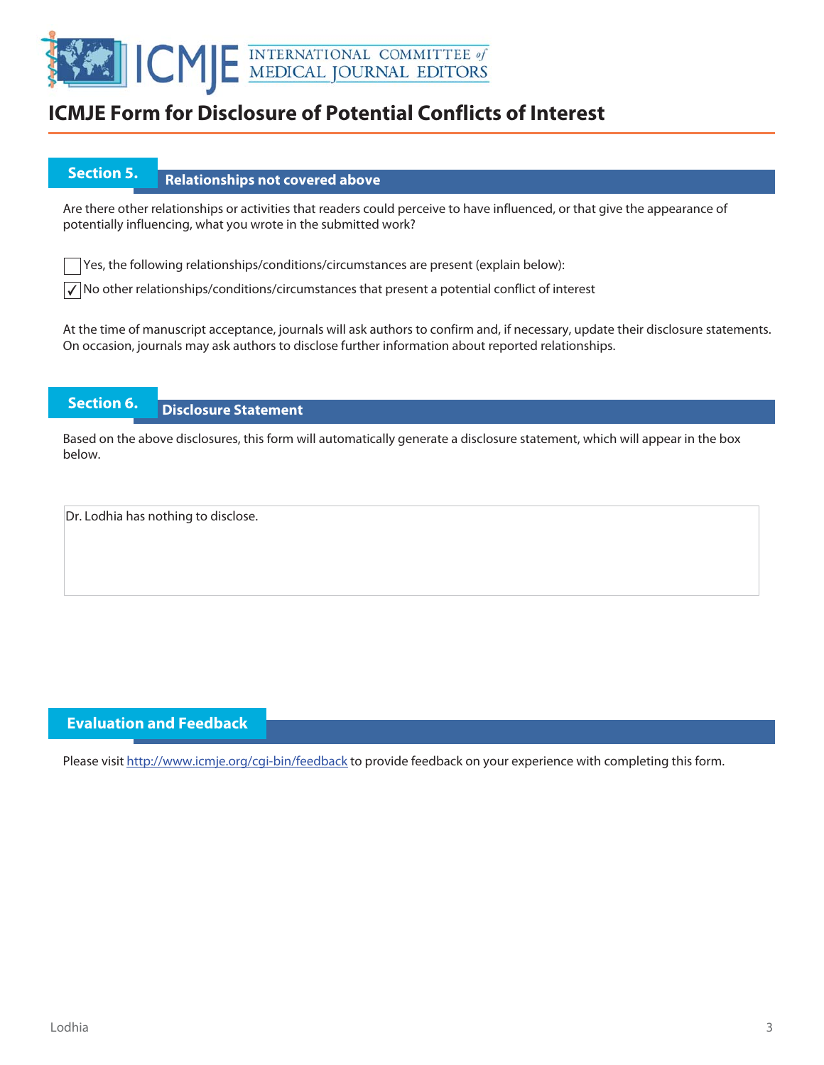

### **Section 5.** Relationships not covered above

Are there other relationships or activities that readers could perceive to have influenced, or that give the appearance of potentially influencing, what you wrote in the submitted work?

Yes, the following relationships/conditions/circumstances are present (explain below):

 $\sqrt{\ }$  No other relationships/conditions/circumstances that present a potential conflict of interest

At the time of manuscript acceptance, journals will ask authors to confirm and, if necessary, update their disclosure statements. On occasion, journals may ask authors to disclose further information about reported relationships.

### **Section 6. Disclosure Statement**

Based on the above disclosures, this form will automatically generate a disclosure statement, which will appear in the box below.

Dr. Lodhia has nothing to disclose.

### **Evaluation and Feedback**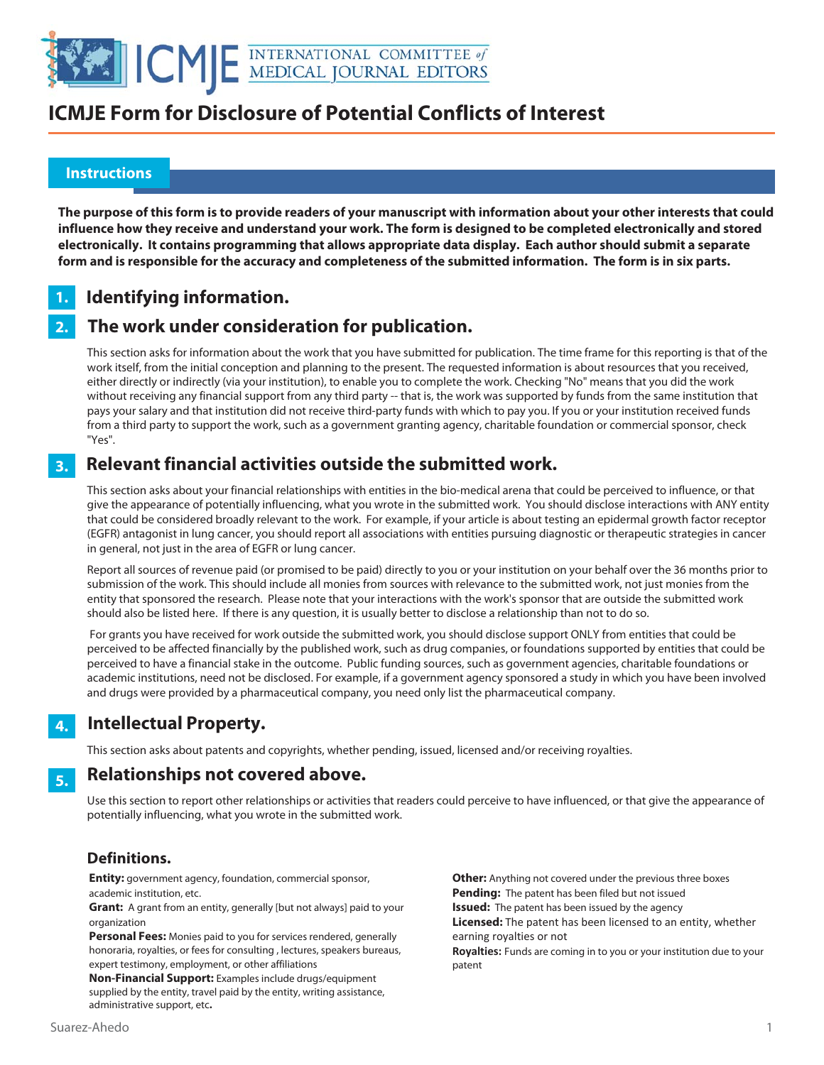

### **Instructions**

 

> **The purpose of this form is to provide readers of your manuscript with information about your other interests that could influence how they receive and understand your work. The form is designed to be completed electronically and stored electronically. It contains programming that allows appropriate data display. Each author should submit a separate form and is responsible for the accuracy and completeness of the submitted information. The form is in six parts.**

#### **Identifying information. 1.**

#### **The work under consideration for publication. 2.**

This section asks for information about the work that you have submitted for publication. The time frame for this reporting is that of the work itself, from the initial conception and planning to the present. The requested information is about resources that you received, either directly or indirectly (via your institution), to enable you to complete the work. Checking "No" means that you did the work without receiving any financial support from any third party -- that is, the work was supported by funds from the same institution that pays your salary and that institution did not receive third-party funds with which to pay you. If you or your institution received funds from a third party to support the work, such as a government granting agency, charitable foundation or commercial sponsor, check "Yes".

#### **Relevant financial activities outside the submitted work. 3.**

This section asks about your financial relationships with entities in the bio-medical arena that could be perceived to influence, or that give the appearance of potentially influencing, what you wrote in the submitted work. You should disclose interactions with ANY entity that could be considered broadly relevant to the work. For example, if your article is about testing an epidermal growth factor receptor (EGFR) antagonist in lung cancer, you should report all associations with entities pursuing diagnostic or therapeutic strategies in cancer in general, not just in the area of EGFR or lung cancer.

Report all sources of revenue paid (or promised to be paid) directly to you or your institution on your behalf over the 36 months prior to submission of the work. This should include all monies from sources with relevance to the submitted work, not just monies from the entity that sponsored the research. Please note that your interactions with the work's sponsor that are outside the submitted work should also be listed here. If there is any question, it is usually better to disclose a relationship than not to do so.

 For grants you have received for work outside the submitted work, you should disclose support ONLY from entities that could be perceived to be affected financially by the published work, such as drug companies, or foundations supported by entities that could be perceived to have a financial stake in the outcome. Public funding sources, such as government agencies, charitable foundations or academic institutions, need not be disclosed. For example, if a government agency sponsored a study in which you have been involved and drugs were provided by a pharmaceutical company, you need only list the pharmaceutical company.

#### **Intellectual Property. 4.**

This section asks about patents and copyrights, whether pending, issued, licensed and/or receiving royalties.

#### **Relationships not covered above. 5.**

Use this section to report other relationships or activities that readers could perceive to have influenced, or that give the appearance of potentially influencing, what you wrote in the submitted work.

### **Definitions.**

**Entity:** government agency, foundation, commercial sponsor, academic institution, etc.

**Grant:** A grant from an entity, generally [but not always] paid to your organization

**Personal Fees:** Monies paid to you for services rendered, generally honoraria, royalties, or fees for consulting , lectures, speakers bureaus, expert testimony, employment, or other affiliations

**Non-Financial Support:** Examples include drugs/equipment supplied by the entity, travel paid by the entity, writing assistance, administrative support, etc**.**

**Other:** Anything not covered under the previous three boxes **Pending:** The patent has been filed but not issued **Issued:** The patent has been issued by the agency **Licensed:** The patent has been licensed to an entity, whether earning royalties or not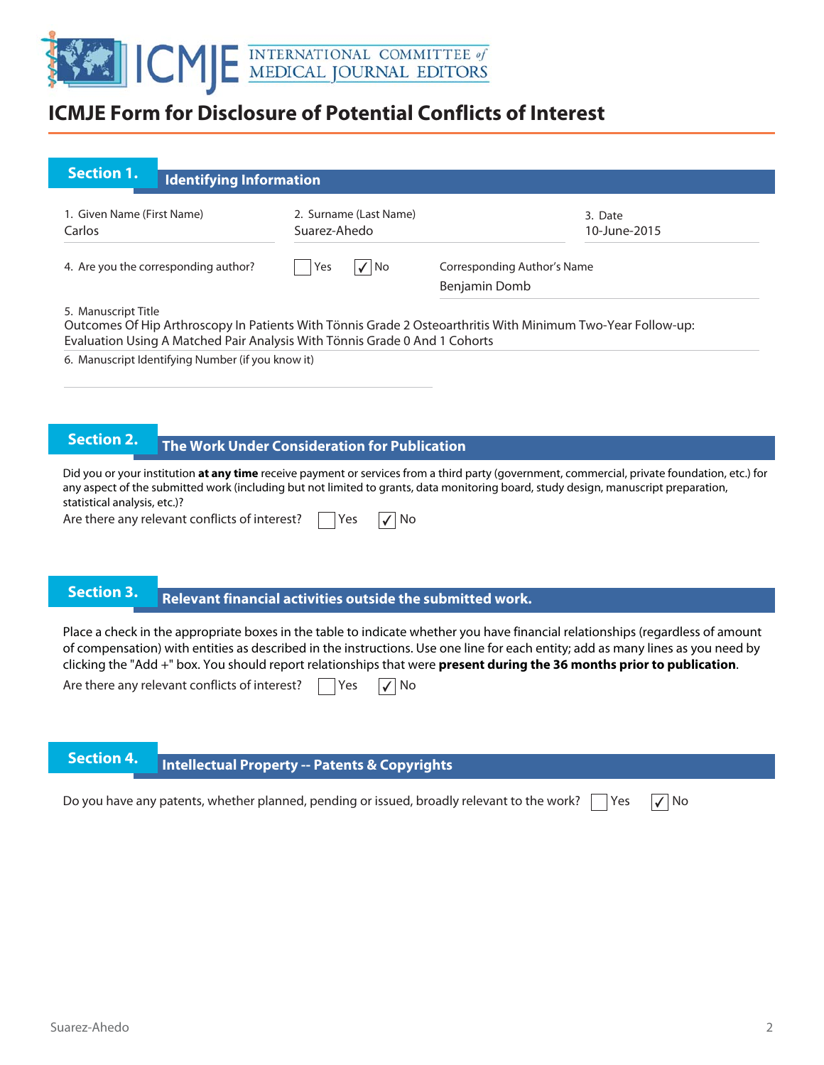

| <b>Section 1.</b>                    | <b>Identifying Information</b>                    |                                                                            |                                                                                                             |
|--------------------------------------|---------------------------------------------------|----------------------------------------------------------------------------|-------------------------------------------------------------------------------------------------------------|
| 1. Given Name (First Name)<br>Carlos |                                                   | 2. Surname (Last Name)<br>Suarez-Ahedo                                     | 3. Date<br>10-June-2015                                                                                     |
|                                      | 4. Are you the corresponding author?              | Yes<br>$\sqrt{ N_{0}}$                                                     | Corresponding Author's Name<br>Benjamin Domb                                                                |
| 5. Manuscript Title                  |                                                   | Evaluation Using A Matched Pair Analysis With Tönnis Grade 0 And 1 Cohorts | Outcomes Of Hip Arthroscopy In Patients With Tönnis Grade 2 Osteoarthritis With Minimum Two-Year Follow-up: |
|                                      | 6. Manuscript Identifying Number (if you know it) |                                                                            |                                                                                                             |

### **The Work Under Consideration for Publication**

Did you or your institution **at any time** receive payment or services from a third party (government, commercial, private foundation, etc.) for any aspect of the submitted work (including but not limited to grants, data monitoring board, study design, manuscript preparation, statistical analysis, etc.)?

| Are there any relevant conflicts of interest? |  | <b>Yes</b> |  | $\sqrt{ }$ No |
|-----------------------------------------------|--|------------|--|---------------|
|-----------------------------------------------|--|------------|--|---------------|

# **Relevant financial activities outside the submitted work. Section 3. Relevant financial activities outset**

Place a check in the appropriate boxes in the table to indicate whether you have financial relationships (regardless of amount of compensation) with entities as described in the instructions. Use one line for each entity; add as many lines as you need by clicking the "Add +" box. You should report relationships that were **present during the 36 months prior to publication**.

| Are there any relevant conflicts of interest? | <b>Yes</b> |  | $\sqrt{N}$ |
|-----------------------------------------------|------------|--|------------|
|-----------------------------------------------|------------|--|------------|

# **Intellectual Property -- Patents & Copyrights**

Do you have any patents, whether planned, pending or issued, broadly relevant to the work?  $\vert \ \vert$  Yes  $\vert \sqrt{\vert N}$